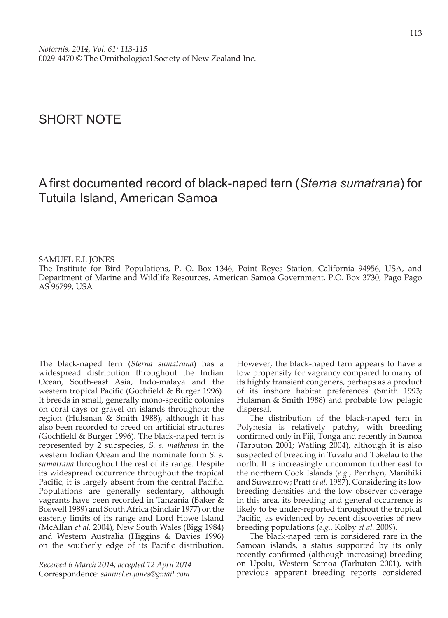## SHORT NOTE

## A first documented record of black-naped tern (*Sterna sumatrana*) for Tutuila Island, American Samoa

## SAMUEL E.I. JONES

The Institute for Bird Populations, P. O. Box 1346, Point Reyes Station, California 94956, USA, and Department of Marine and Wildlife Resources, American Samoa Government, P.O. Box 3730, Pago Pago AS 96799, USA

The black-naped tern (*Sterna sumatrana*) has a widespread distribution throughout the Indian Ocean, South-east Asia, Indo-malaya and the western tropical Pacific (Gochfield & Burger 1996). It breeds in small, generally mono-specific colonies on coral cays or gravel on islands throughout the region (Hulsman & Smith 1988), although it has also been recorded to breed on artificial structures (Gochfield & Burger 1996). The black-naped tern is represented by 2 subspecies, *S. s. mathewsi* in the western Indian Ocean and the nominate form *S. s. sumatrana* throughout the rest of its range. Despite its widespread occurrence throughout the tropical Pacific, it is largely absent from the central Pacific. Populations are generally sedentary, although vagrants have been recorded in Tanzania (Baker & Boswell 1989) and South Africa (Sinclair 1977) on the easterly limits of its range and Lord Howe Island (McAllan *et al.* 2004), New South Wales (Bigg 1984) and Western Australia (Higgins & Davies 1996) on the southerly edge of its Pacific distribution.

However, the black-naped tern appears to have a low propensity for vagrancy compared to many of its highly transient congeners, perhaps as a product of its inshore habitat preferences (Smith 1993; Hulsman & Smith 1988) and probable low pelagic dispersal.

The distribution of the black-naped tern in Polynesia is relatively patchy, with breeding confirmed only in Fiji, Tonga and recently in Samoa (Tarbuton 2001; Watling 2004), although it is also suspected of breeding in Tuvalu and Tokelau to the north. It is increasingly uncommon further east to the northern Cook Islands (*e.g*., Penrhyn, Manihiki and Suwarrow; Pratt *et al.* 1987). Considering its low breeding densities and the low observer coverage in this area, its breeding and general occurrence is likely to be under-reported throughout the tropical Pacific, as evidenced by recent discoveries of new breeding populations (*e.g.*, Kolby *et al.* 2009).

The black-naped tern is considered rare in the Samoan islands, a status supported by its only recently confirmed (although increasing) breeding on Upolu, Western Samoa (Tarbuton 2001), with previous apparent breeding reports considered

*Received 6 March 2014; accepted 12 April 2014* Correspondence: *samuel.ei.jones@gmail.com*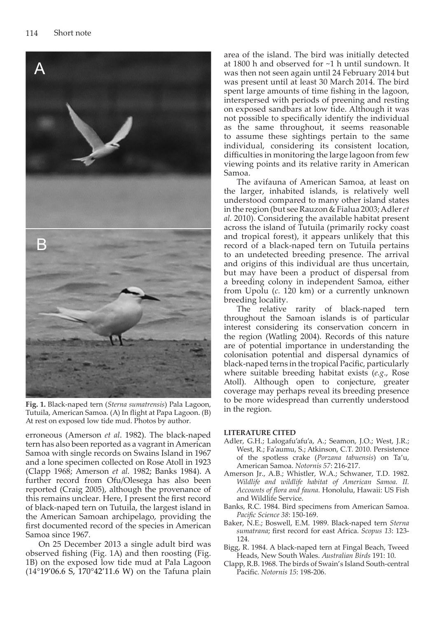

**Fig. 1.** Black-naped tern (*Sterna sumatrensis*) Pala Lagoon, Tutuila, American Samoa. (A) In flight at Papa Lagoon. (B) At rest on exposed low tide mud. Photos by author.

erroneous (Amerson *et al*. 1982). The black-naped tern has also been reported as a vagrant in American Samoa with single records on Swains Island in 1967 and a lone specimen collected on Rose Atoll in 1923 (Clapp 1968; Amerson *et al.* 1982; Banks 1984). A further record from Ofu/Olesega has also been reported (Craig 2005), although the provenance of this remains unclear. Here, I present the first record of black-naped tern on Tutuila, the largest island in the American Samoan archipelago, providing the first documented record of the species in American Samoa since 1967.

On 25 December 2013 a single adult bird was observed fishing (Fig. 1A) and then roosting (Fig. 1B) on the exposed low tide mud at Pala Lagoon (14°19'06.6 S, 170°42'11.6 W) on the Tafuna plain area of the island. The bird was initially detected at 1800 h and observed for ~1 h until sundown. It was then not seen again until 24 February 2014 but was present until at least 30 March 2014. The bird spent large amounts of time fishing in the lagoon, interspersed with periods of preening and resting on exposed sandbars at low tide. Although it was not possible to specifically identify the individual as the same throughout, it seems reasonable to assume these sightings pertain to the same individual, considering its consistent location, difficulties in monitoring the large lagoon from few viewing points and its relative rarity in American Samoa.

The avifauna of American Samoa, at least on the larger, inhabited islands, is relatively well understood compared to many other island states in the region (but see Rauzon & Fialua 2003; Adler *et al.* 2010). Considering the available habitat present across the island of Tutuila (primarily rocky coast and tropical forest), it appears unlikely that this record of a black-naped tern on Tutuila pertains to an undetected breeding presence. The arrival and origins of this individual are thus uncertain, but may have been a product of dispersal from a breeding colony in independent Samoa, either from Upolu (*c.* 120 km) or a currently unknown breeding locality.

The relative rarity of black-naped tern throughout the Samoan islands is of particular interest considering its conservation concern in the region (Watling 2004). Records of this nature are of potential importance in understanding the colonisation potential and dispersal dynamics of black-naped terns in the tropical Pacific, particularly where suitable breeding habitat exists (*e.g*., Rose Atoll). Although open to conjecture, greater coverage may perhaps reveal its breeding presence to be more widespread than currently understood in the region.

## **LITERATURE CITED**

- Adler, G.H.; Lalogafu'afu'a, A.; Seamon, J.O.; West, J.R.; West, R.; Fa'aumu, S.; Atkinson, C.T. 2010. Persistence of the spotless crake (*Porzana tabuensis*) on Ta'u, American Samoa. *Notornis 57*: 216-217.
- Amerson Jr., A.B.; Whistler, W.A.; Schwaner, T.D. 1982. *Wildlife and wildlife habitat of American Samoa. II. Accounts of flora and fauna.* Honolulu, Hawaii: US Fish and Wildlife Service.
- Banks, R.C. 1984. Bird specimens from American Samoa. *Pacific Science 38*: 150-169.
- Baker, N.E.; Boswell, E.M. 1989. Black-naped tern *Sterna sumatrana*; first record for east Africa. *Scopus 13*: 123- 124.
- Bigg, R. 1984. A black-naped tern at Fingal Beach, Tweed Heads, New South Wales. *Australian Birds* 191: 10.
- Clapp, R.B. 1968. The birds of Swain's Island South-central Pacific. *Notornis 15*: 198-206.